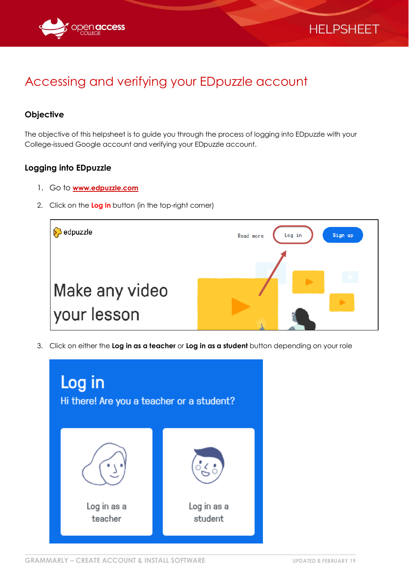



## Accessing and verifying your EDpuzzle account

## **Objective**

The objective of this helpsheet is to guide you through the process of logging into EDpuzzle with your College-issued Google account and verifying your EDpuzzle account.

## **Logging into EDpuzzle**

- 1. Go to **[www.edpuzzle.com](http://www.edpuzzle.com/)**
- 2. Click on the **Log in** button (in the top-right corner)



3. Click on either the **Log in as a teacher** or **Log in as a student** button depending on your role

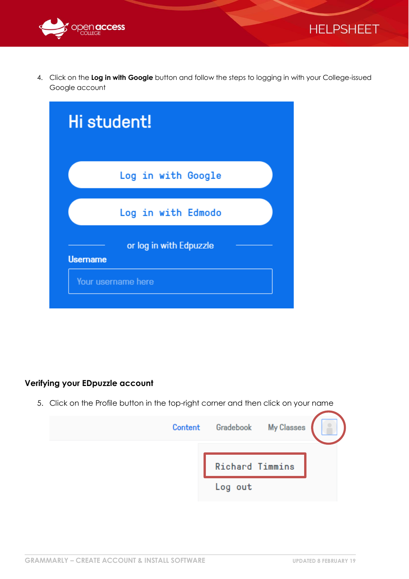



4. Click on the **Log in with Google** button and follow the steps to logging in with your College-issued Google account

| Hi student!                                |  |  |  |  |
|--------------------------------------------|--|--|--|--|
| Log in with Google                         |  |  |  |  |
| Log in with Edmodo                         |  |  |  |  |
| or log in with Edpuzzle<br><b>Username</b> |  |  |  |  |
| Your username here                         |  |  |  |  |

## **Verifying your EDpuzzle account**

5. Click on the Profile button in the top-right corner and then click on your name

| Content Gradebook My Classes |                        |  |
|------------------------------|------------------------|--|
|                              | <b>Richard Timmins</b> |  |
| Log out                      |                        |  |